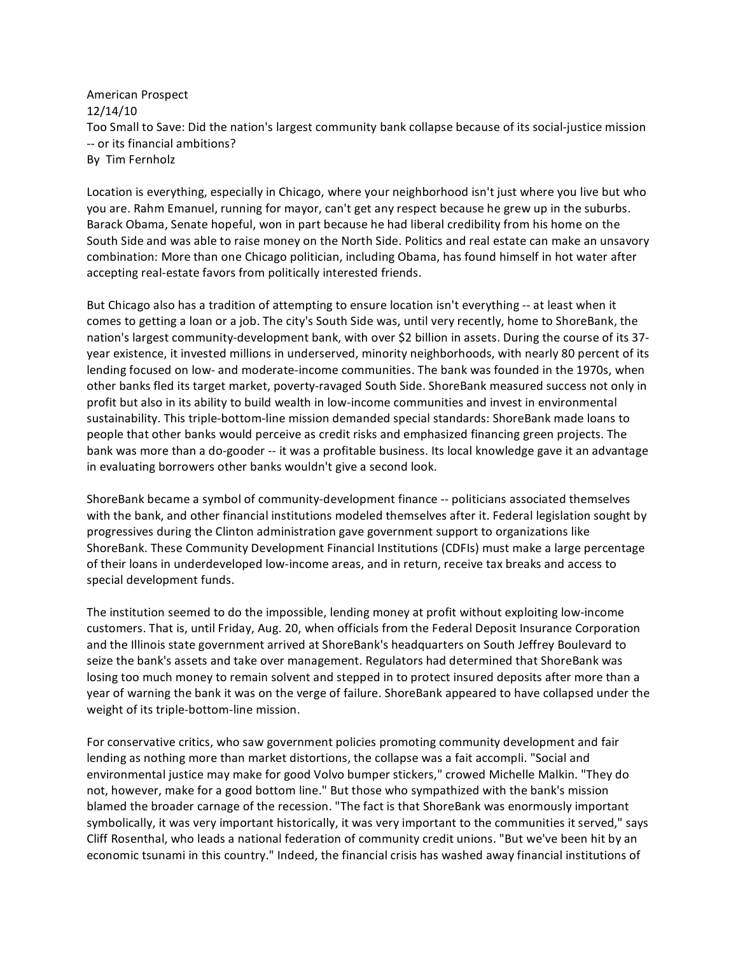American Prospect 12/14/10 Too Small to Save: Did the nation's largest community bank collapse because of its social‐justice mission ‐‐ or its financial ambitions? By Tim Fernholz

Location is everything, especially in Chicago, where your neighborhood isn't just where you live but who you are. Rahm Emanuel, running for mayor, can't get any respect because he grew up in the suburbs. Barack Obama, Senate hopeful, won in part because he had liberal credibility from his home on the South Side and was able to raise money on the North Side. Politics and real estate can make an unsavory combination: More than one Chicago politician, including Obama, has found himself in hot water after accepting real‐estate favors from politically interested friends.

But Chicago also has a tradition of attempting to ensure location isn't everything ‐‐ at least when it comes to getting a loan or a job. The city's South Side was, until very recently, home to ShoreBank, the nation's largest community-development bank, with over \$2 billion in assets. During the course of its 37year existence, it invested millions in underserved, minority neighborhoods, with nearly 80 percent of its lending focused on low- and moderate-income communities. The bank was founded in the 1970s, when other banks fled its target market, poverty‐ravaged South Side. ShoreBank measured success not only in profit but also in its ability to build wealth in low-income communities and invest in environmental sustainability. This triple‐bottom‐line mission demanded special standards: ShoreBank made loans to people that other banks would perceive as credit risks and emphasized financing green projects. The bank was more than a do‐gooder ‐‐ it was a profitable business. Its local knowledge gave it an advantage in evaluating borrowers other banks wouldn't give a second look.

ShoreBank became a symbol of community‐development finance ‐‐ politicians associated themselves with the bank, and other financial institutions modeled themselves after it. Federal legislation sought by progressives during the Clinton administration gave government support to organizations like ShoreBank. These Community Development Financial Institutions (CDFIs) must make a large percentage of their loans in underdeveloped low‐income areas, and in return, receive tax breaks and access to special development funds.

The institution seemed to do the impossible, lending money at profit without exploiting low‐income customers. That is, until Friday, Aug. 20, when officials from the Federal Deposit Insurance Corporation and the Illinois state government arrived at ShoreBank's headquarters on South Jeffrey Boulevard to seize the bank's assets and take over management. Regulators had determined that ShoreBank was losing too much money to remain solvent and stepped in to protect insured deposits after more than a year of warning the bank it was on the verge of failure. ShoreBank appeared to have collapsed under the weight of its triple‐bottom‐line mission.

For conservative critics, who saw government policies promoting community development and fair lending as nothing more than market distortions, the collapse was a fait accompli. "Social and environmental justice may make for good Volvo bumper stickers," crowed Michelle Malkin. "They do not, however, make for a good bottom line." But those who sympathized with the bank's mission blamed the broader carnage of the recession. "The fact is that ShoreBank was enormously important symbolically, it was very important historically, it was very important to the communities it served," says Cliff Rosenthal, who leads a national federation of community credit unions. "But we've been hit by an economic tsunami in this country." Indeed, the financial crisis has washed away financial institutions of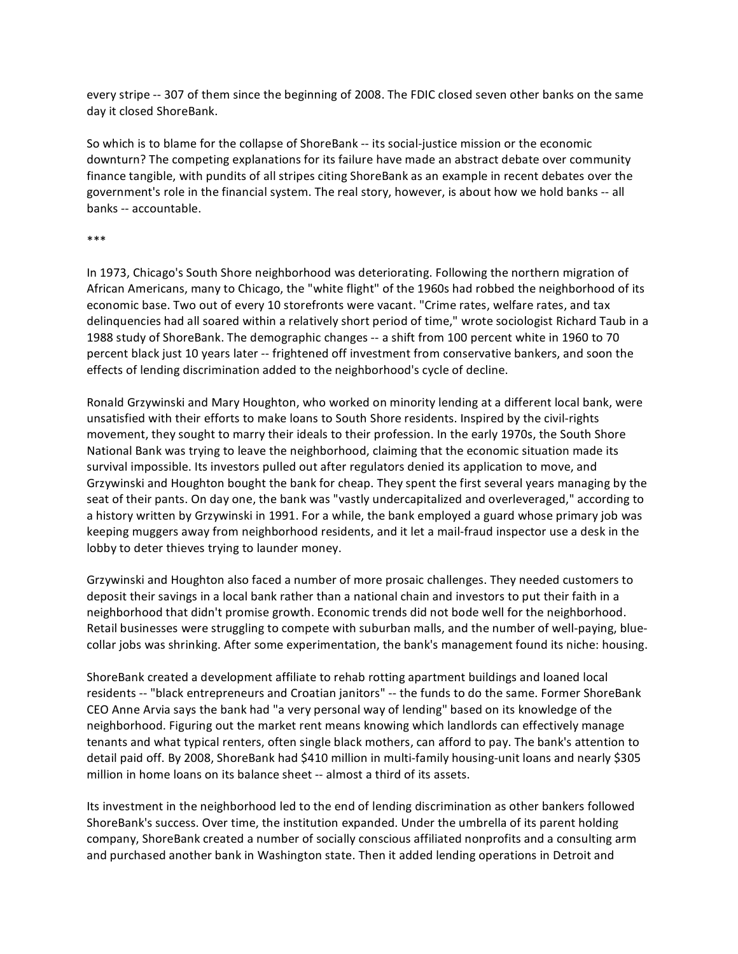every stripe ‐‐ 307 of them since the beginning of 2008. The FDIC
closed seven other banks on the same day it closed ShoreBank.

So which is to blame for the collapse of ShoreBank ‐‐ its social‐justice mission or the economic downturn? The competing explanations for its failure have made an abstract debate over community finance tangible, with pundits of all stripes citing ShoreBank as an example in recent debates over the government's role in the financial system. The real story, however, is about how we hold banks ‐‐ all banks ‐‐ accountable.

## \*\*\*

In 1973, Chicago's South Shore neighborhood was deteriorating. Following the northern migration of African Americans, many to Chicago, the "white flight" of the 1960s had robbed the neighborhood of its economic base. Two out of every 10 storefronts were vacant. "Crime rates, welfare rates, and tax delinquencies had all soared within a relatively short period of time," wrote sociologist Richard Taub in a 1988 study of ShoreBank. The demographic changes ‐‐ a shift from 100 percent white in 1960 to 70 percent black just 10 years later ‐‐ frightened off investment from conservative bankers, and soon the effects of lending discrimination added to the neighborhood's cycle of decline.

Ronald Grzywinski and Mary Houghton, who worked on minority lending at a different local bank, were unsatisfied with their efforts to make loans to South Shore residents. Inspired by the civil‐rights movement, they sought to marry their ideals to their profession. In the early 1970s, the South Shore National Bank was trying to leave the neighborhood, claiming that the economic situation made its survival impossible. Its investors pulled out after regulators denied its application to move, and Grzywinski and Houghton bought the bank for cheap. They spent the first several years managing by the seat of their pants. On day one, the bank was "vastly undercapitalized and overleveraged," according to a history written by Grzywinski in 1991. For a while, the bank employed a guard whose primary job was keeping muggers away from neighborhood residents, and it let a mail‐fraud inspector use a desk in the lobby to deter thieves trying to launder money.

Grzywinski and Houghton also faced a number of more prosaic challenges. They needed customers to deposit their savings in a local bank rather than a national chain and investors to put their faith in a neighborhood that didn't promise growth. Economic trends did not bode well for the neighborhood. Retail businesses were struggling to compete with suburban malls, and the number of well-paying, bluecollar jobs was shrinking. After some experimentation, the bank's management found its niche: housing.

ShoreBank created a development affiliate to rehab rotting apartment buildings and loaned local residents ‐‐ "black entrepreneurs and Croatian janitors" ‐‐ the funds to do the same. Former ShoreBank CEO Anne Arvia says the bank had "a very personal way of lending" based on its knowledge of the neighborhood. Figuring out the market rent means knowing which landlords can effectively manage tenants and what typical renters, often single black mothers, can afford to pay. The bank's attention to detail paid off. By 2008, ShoreBank had \$410 million in multi-family housing-unit loans and nearly \$305 million in home loans on its balance sheet ‐‐ almost a third of its assets.

Its investment in the neighborhood led to the end of lending discrimination as other bankers followed ShoreBank's success. Over time, the institution expanded. Under the umbrella of its parent holding company, ShoreBank created a number of socially conscious affiliated nonprofits and a consulting arm and purchased another bank in Washington state. Then it added lending operations in Detroit and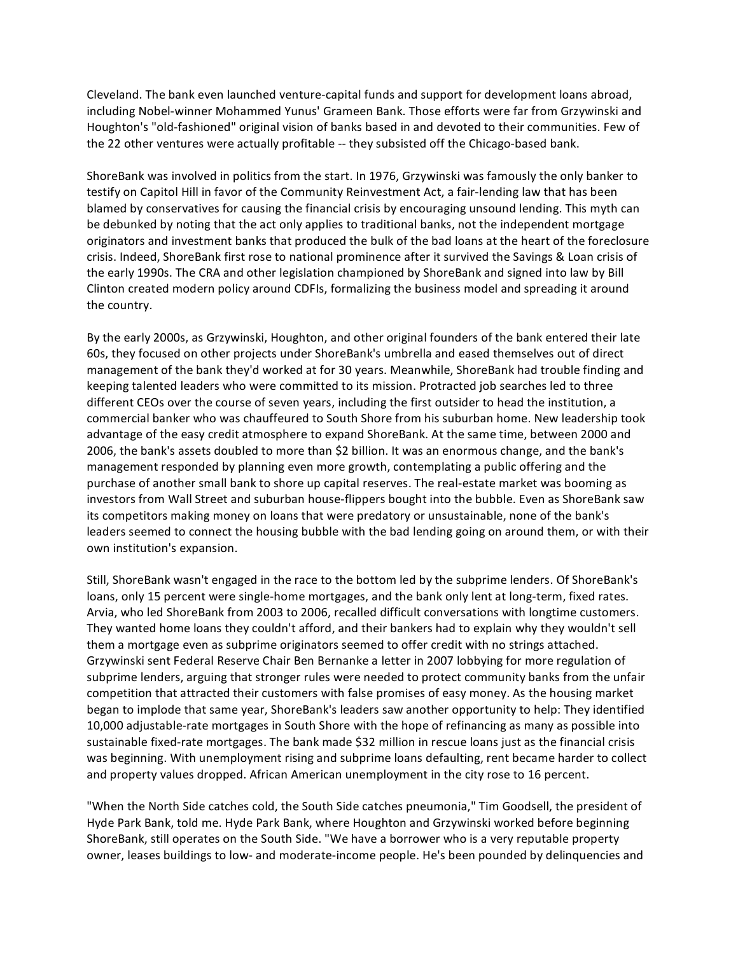Cleveland. The bank even launched venture‐capital funds and support for development loans abroad, including Nobel‐winner Mohammed Yunus' Grameen Bank. Those efforts were far from Grzywinski and Houghton's "old‐fashioned" original vision of banks based in and devoted to their communities. Few of the 22 other ventures were actually profitable ‐‐ they subsisted off the Chicago‐based bank.

ShoreBank was involved in politics from the start. In 1976, Grzywinski was famously the only banker to testify on Capitol Hill in favor of the Community Reinvestment Act, a fair‐lending law that has been blamed by conservatives for causing the financial crisis by encouraging unsound lending. This myth can be debunked by noting that the act only applies to traditional banks, not the independent mortgage originators and investment banks that produced the bulk of the bad loans at the heart of the foreclosure crisis. Indeed, ShoreBank first rose to national prominence after it survived the Savings & Loan crisis of the early 1990s. The CRA and other legislation championed by ShoreBank and signed into law by Bill Clinton created modern policy around CDFIs, formalizing the business model and spreading it around the country.

By the early 2000s, as Grzywinski, Houghton, and other original founders of the bank entered their late 60s, they focused on other projects under ShoreBank's umbrella and eased themselves out of direct management of the bank they'd worked at for 30 years. Meanwhile, ShoreBank had trouble finding and keeping talented leaders who were committed to its mission. Protracted job searches led to three different CEOs over the course of seven years, including the first outsider to head the institution, a commercial banker who was chauffeured to South Shore from his suburban home. New leadership took advantage of the easy credit atmosphere to expand ShoreBank. At the same time, between 2000 and 2006, the bank's assets doubled to more than \$2 billion. It was an enormous change, and the bank's management responded by planning even more growth, contemplating a public offering and the purchase of another small bank to shore up capital reserves. The real‐estate market was booming as investors from Wall Street and suburban house-flippers bought into the bubble. Even as ShoreBank saw its competitors making money on loans that were predatory or unsustainable, none of the bank's leaders seemed to connect the housing bubble with the bad lending going on around them, or with their own institution's expansion.

Still, ShoreBank wasn't engaged in the race to the bottom led by the subprime lenders. Of ShoreBank's loans, only 15 percent were single-home mortgages, and the bank only lent at long-term, fixed rates. Arvia, who led ShoreBank from 2003 to 2006, recalled difficult conversations with longtime customers. They wanted home loans they couldn't afford, and their bankers had to explain why they wouldn't sell them a mortgage even as subprime originators seemed to offer credit with no strings attached. Grzywinski sent Federal Reserve Chair Ben Bernanke a letter in 2007 lobbying for more regulation of subprime lenders, arguing that stronger rules were needed to protect community banks from the unfair competition that attracted their customers with false promises of easy money. As the housing market began to implode that same year, ShoreBank's leaders saw another opportunity to help: They identified 10,000 adjustable‐rate mortgages in South Shore with the hope of refinancing as many as possible into sustainable fixed‐rate mortgages. The bank made \$32 million in rescue loans just as the financial crisis was beginning. With unemployment rising and subprime loans defaulting, rent became harder to collect and property values dropped. African American unemployment in the city rose to 16 percent.

"When the North Side catches cold, the South Side catches pneumonia," Tim Goodsell, the president of Hyde Park Bank, told me. Hyde Park Bank, where Houghton and Grzywinski worked before beginning ShoreBank, still operates on the South Side. "We have a borrower who is a very reputable property owner, leases buildings to low‐ and moderate‐income people. He's been pounded by delinquencies and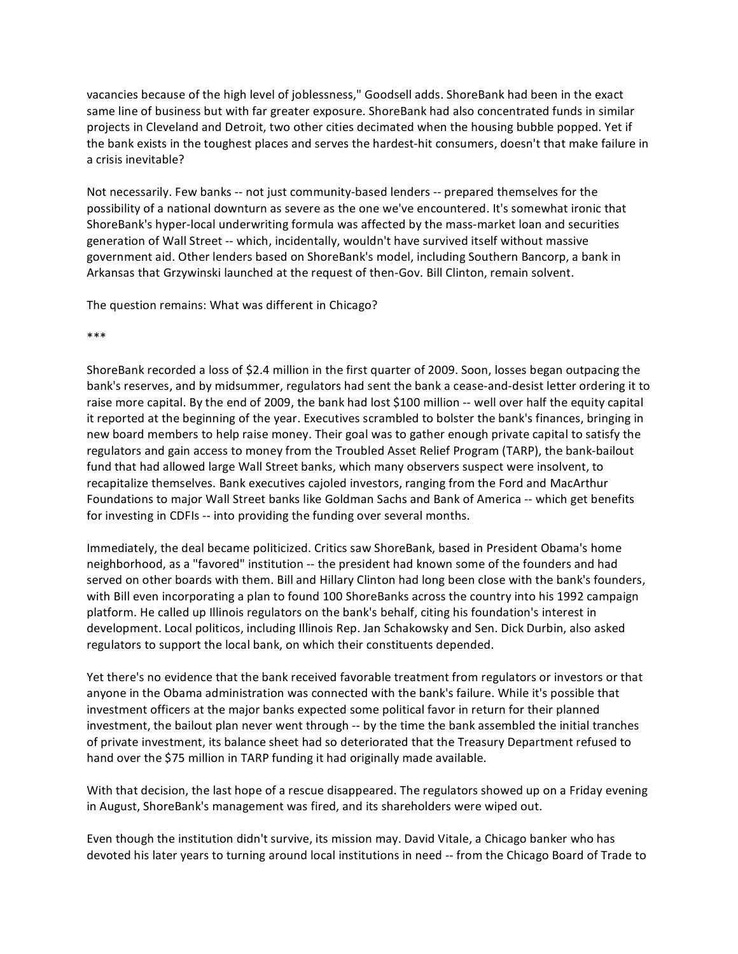vacancies because of the high level of joblessness," Goodsell adds. ShoreBank had been in the exact same line of business but with far greater exposure. ShoreBank had also concentrated funds in similar projects in Cleveland and Detroit, two other cities decimated when the housing bubble popped. Yet if the bank exists in the toughest places and serves the hardest‐hit consumers, doesn't that make failure in a crisis inevitable?

Not necessarily. Few banks ‐‐ not just community‐based lenders ‐‐ prepared themselves for the possibility of a national downturn as severe as the one we've encountered. It's somewhat ironic that ShoreBank's hyper-local underwriting formula was affected by the mass-market loan and securities generation of Wall Street ‐‐ which, incidentally, wouldn't have survived itself without massive government aid. Other lenders based on ShoreBank's model, including Southern Bancorp, a bank in Arkansas that Grzywinski launched at the request of then‐Gov. Bill Clinton, remain solvent.

The question remains: What was different in Chicago?

\*\*\*

ShoreBank recorded a loss of \$2.4 million in the first quarter of 2009. Soon, losses began outpacing the bank's reserves, and by midsummer, regulators had sent the bank a cease-and-desist letter ordering it to raise more capital. By the end of 2009, the bank had lost \$100 million -- well over half the equity capital it reported at the beginning of the year. Executives scrambled to bolster the bank's finances, bringing in new board members to help raise money. Their goal was to gather enough private capital to satisfy the regulators and gain access to money from the Troubled Asset Relief Program (TARP), the bank‐bailout fund that had allowed large Wall Street banks, which many observers suspect were insolvent, to recapitalize themselves. Bank executives cajoled investors, ranging from the Ford and MacArthur Foundations to major Wall Street banks like Goldman Sachs and Bank of America ‐‐ which get benefits for investing in CDFIs -- into providing the funding over several months.

Immediately, the deal became politicized. Critics saw ShoreBank, based in President Obama's home neighborhood, as a "favored" institution ‐‐ the president had known some of the founders and had served on other boards with them. Bill and Hillary Clinton had long been close with the bank's founders, with Bill even incorporating a plan to found 100 ShoreBanks across the country into his 1992 campaign platform. He called up Illinois regulators on the bank's behalf, citing his foundation's interest in development. Local politicos, including Illinois Rep. Jan Schakowsky and Sen. Dick Durbin, also asked regulators to support the local bank, on which their constituents depended.

Yet there's no evidence that the bank received favorable treatment from regulators or investors or that anyone in the Obama administration was connected with the bank's failure. While it's possible that investment officers at the major banks expected some political favor in return for their planned investment, the bailout plan never went through ‐‐ by the time the bank assembled the initial tranches of private investment, its balance sheet had so deteriorated that the Treasury Department refused to hand over the \$75 million in TARP funding it had originally made available.

With that decision, the last hope of a rescue disappeared. The regulators showed up on a Friday evening in August, ShoreBank's management was fired, and its shareholders were wiped out.

Even though the institution didn't survive, its mission may. David Vitale, a Chicago banker who has devoted his later years to turning around local institutions in need ‐‐ from the Chicago Board of Trade to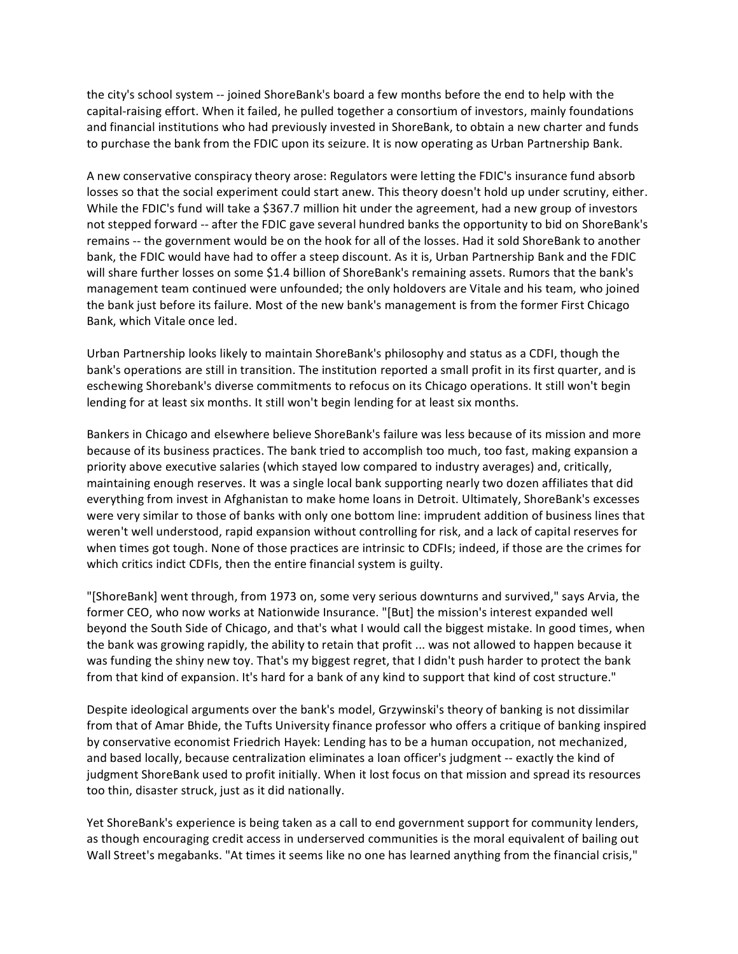the city's school system ‐‐ joined ShoreBank's board a few months before the end to help with the capital‐raising effort. When it failed, he pulled together a consortium of investors, mainly foundations and financial institutions who had previously invested in ShoreBank, to obtain a new charter and funds to purchase the bank from the FDIC upon its seizure. It is now operating as Urban Partnership Bank.

A new conservative conspiracy theory arose: Regulators were letting the FDIC's insurance fund absorb losses so that the social experiment could start anew. This theory doesn't hold up under scrutiny, either. While the FDIC's fund will take a \$367.7 million hit under the agreement, had a new group of investors not stepped forward -- after the FDIC gave several hundred banks the opportunity to bid on ShoreBank's remains ‐‐ the government would be on the hook for all of the losses. Had it sold ShoreBank to another bank, the FDIC
would have had to offer a steep discount. As it is, Urban Partnership Bank and the FDIC will share further losses on some \$1.4 billion of ShoreBank's remaining assets. Rumors that the bank's management team continued were unfounded; the only holdovers are Vitale and his team, who joined the bank just before its failure. Most of the new bank's management is from the former First Chicago Bank, which Vitale once led.

Urban Partnership looks likely to maintain ShoreBank's philosophy and status as a CDFI, though the bank's operations are still in transition. The institution reported a small profit in its first quarter, and is eschewing Shorebank's diverse commitments to refocus on its Chicago operations. It still won't begin lending for at least six months. It still won't begin lending for at least six months.

Bankers in Chicago and elsewhere believe ShoreBank's failure was less because of its mission and more because of its business practices. The bank tried to accomplish too much, too fast, making expansion a priority above executive salaries (which stayed low compared to industry averages) and, critically, maintaining enough reserves. It was a single local bank supporting nearly two dozen affiliates that did everything from invest in Afghanistan to make home loans in Detroit. Ultimately, ShoreBank's excesses were very similar to those of banks with only one bottom line: imprudent addition of business lines that weren't well understood, rapid expansion without controlling for risk, and a lack of capital reserves for when times got tough. None of those practices are intrinsic to CDFIs; indeed, if those are the crimes for which critics indict CDFIs, then the entire financial system is guilty.

"[ShoreBank] went through, from 1973 on, some very serious downturns and survived," says Arvia, the former CEO, who now works at Nationwide Insurance. "[But] the mission's interest expanded well beyond the South Side of Chicago, and that's what I would call the biggest mistake. In good times, when the bank was growing rapidly, the ability to retain that profit ... was not allowed to happen because it was funding the shiny new toy. That's my biggest regret, that I didn't push harder to protect the bank from that kind of expansion. It's hard for a bank of any kind to support that kind of cost structure."

Despite ideological arguments over the bank's model, Grzywinski's theory of banking is not dissimilar from that of Amar Bhide, the Tufts University finance professor who offers a critique of banking inspired by conservative economist Friedrich Hayek: Lending has to be a human occupation, not mechanized, and based locally, because centralization eliminates a loan officer's judgment ‐‐ exactly the kind of judgment ShoreBank used to profit initially. When it lost focus on that mission and spread its resources too thin, disaster struck, just as it did nationally.

Yet ShoreBank's experience is being taken as a call to end government support for community lenders, as though encouraging credit access in underserved communities is the moral equivalent of bailing out Wall Street's megabanks. "At times it seems like no one has learned anything from the financial crisis,"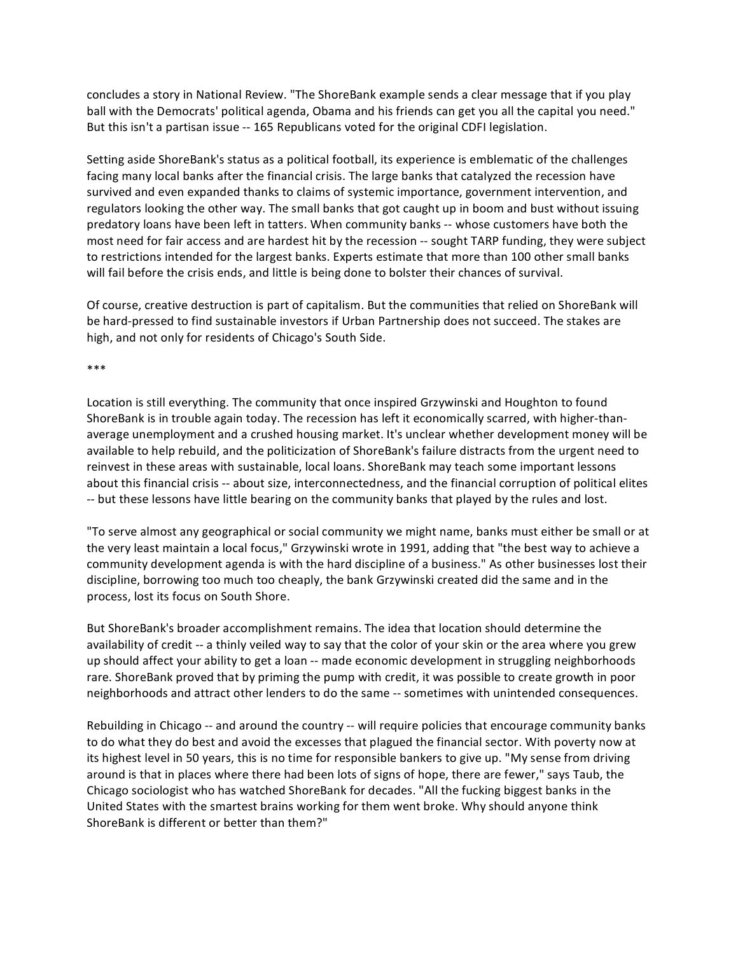concludes a story in National Review. "The ShoreBank example sends a clear message that if you play ball with the Democrats' political agenda, Obama and his friends can get you all the capital you need." But this isn't a partisan issue -- 165 Republicans voted for the original CDFI legislation.

Setting aside ShoreBank's status as a political football, its experience is emblematic of the challenges facing many local banks after the financial crisis. The large banks that catalyzed the recession have survived and even expanded thanks to claims of systemic importance, government intervention, and regulators looking the other way. The small banks that got caught up in boom and bust without issuing predatory loans have been left in tatters. When community banks ‐‐ whose customers have both the most need for fair access and are hardest hit by the recession ‐‐ sought TARP funding, they were subject to restrictions intended for the largest banks. Experts estimate that more than 100 other small banks will fail before the crisis ends, and little is being done to bolster their chances of survival.

Of course, creative destruction is part of capitalism. But the communities that relied on ShoreBank will be hard‐pressed to find sustainable investors if Urban Partnership does not succeed. The stakes are high, and not only for residents of Chicago's South Side.

## \*\*\*

Location is still everything. The community that once inspired Grzywinski and Houghton to found ShoreBank is in trouble again today. The recession has left it economically scarred, with higher‐than‐ average unemployment and a crushed housing market. It's unclear whether development money will be available to help rebuild, and the politicization of ShoreBank's failure distracts from the urgent need to reinvest in these areas with sustainable, local loans. ShoreBank may teach some important lessons about this financial crisis ‐‐ about size, interconnectedness, and the financial corruption of political elites ‐‐ but these lessons have little bearing on the community banks that played by the rules and lost.

"To serve almost any geographical or social community we might name, banks must either be small or at the very least maintain a local focus," Grzywinski wrote in 1991, adding that "the best way to achieve a community development agenda is with the hard discipline of a business." As other businesses lost their discipline, borrowing too much too cheaply, the bank Grzywinski created did the same and in the process, lost its focus on South Shore.

But ShoreBank's broader accomplishment remains. The idea that location should determine the availability of credit ‐‐ a thinly veiled way to say that the color of your skin or the area where you grew up should affect your ability to get a loan ‐‐ made economic development in struggling neighborhoods rare. ShoreBank proved that by priming the pump with credit, it was possible to create growth in poor neighborhoods and attract other lenders to do the same ‐‐ sometimes with unintended consequences.

Rebuilding in Chicago -- and around the country -- will require policies that encourage community banks to do what they do best and avoid the excesses that plagued the financial sector. With poverty now at its highest level in 50 years, this is no time for responsible bankers to give up. "My sense from driving around is that in places where there had been lots of signs of hope, there are fewer," says Taub, the Chicago sociologist who has watched ShoreBank for decades. "All the fucking biggest banks in the United States with the smartest brains working for them went broke. Why should anyone think ShoreBank is different or better than them?"